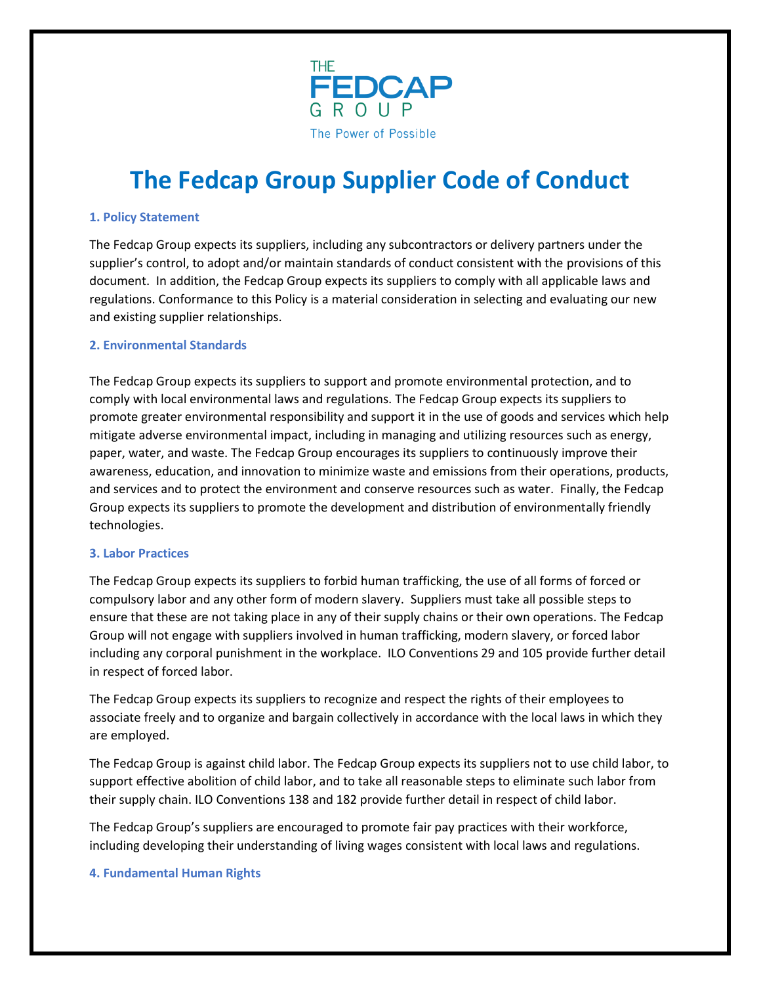

# **The Fedcap Group Supplier Code of Conduct**

#### **1. Policy Statement**

The Fedcap Group expects its suppliers, including any subcontractors or delivery partners under the supplier's control, to adopt and/or maintain standards of conduct consistent with the provisions of this document. In addition, the Fedcap Group expects its suppliers to comply with all applicable laws and regulations. Conformance to this Policy is a material consideration in selecting and evaluating our new and existing supplier relationships.

#### **2. Environmental Standards**

The Fedcap Group expects its suppliers to support and promote environmental protection, and to comply with local environmental laws and regulations. The Fedcap Group expects its suppliers to promote greater environmental responsibility and support it in the use of goods and services which help mitigate adverse environmental impact, including in managing and utilizing resources such as energy, paper, water, and waste. The Fedcap Group encourages its suppliers to continuously improve their awareness, education, and innovation to minimize waste and emissions from their operations, products, and services and to protect the environment and conserve resources such as water. Finally, the Fedcap Group expects its suppliers to promote the development and distribution of environmentally friendly technologies.

#### **3. Labor Practices**

The Fedcap Group expects its suppliers to forbid human trafficking, the use of all forms of forced or compulsory labor and any other form of modern slavery. Suppliers must take all possible steps to ensure that these are not taking place in any of their supply chains or their own operations. The Fedcap Group will not engage with suppliers involved in human trafficking, modern slavery, or forced labor including any corporal punishment in the workplace. ILO Conventions 29 and 105 provide further detail in respect of forced labor.

The Fedcap Group expects its suppliers to recognize and respect the rights of their employees to associate freely and to organize and bargain collectively in accordance with the local laws in which they are employed.

The Fedcap Group is against child labor. The Fedcap Group expects its suppliers not to use child labor, to support effective abolition of child labor, and to take all reasonable steps to eliminate such labor from their supply chain. ILO Conventions 138 and 182 provide further detail in respect of child labor.

The Fedcap Group's suppliers are encouraged to promote fair pay practices with their workforce, including developing their understanding of living wages consistent with local laws and regulations.

#### **4. Fundamental Human Rights**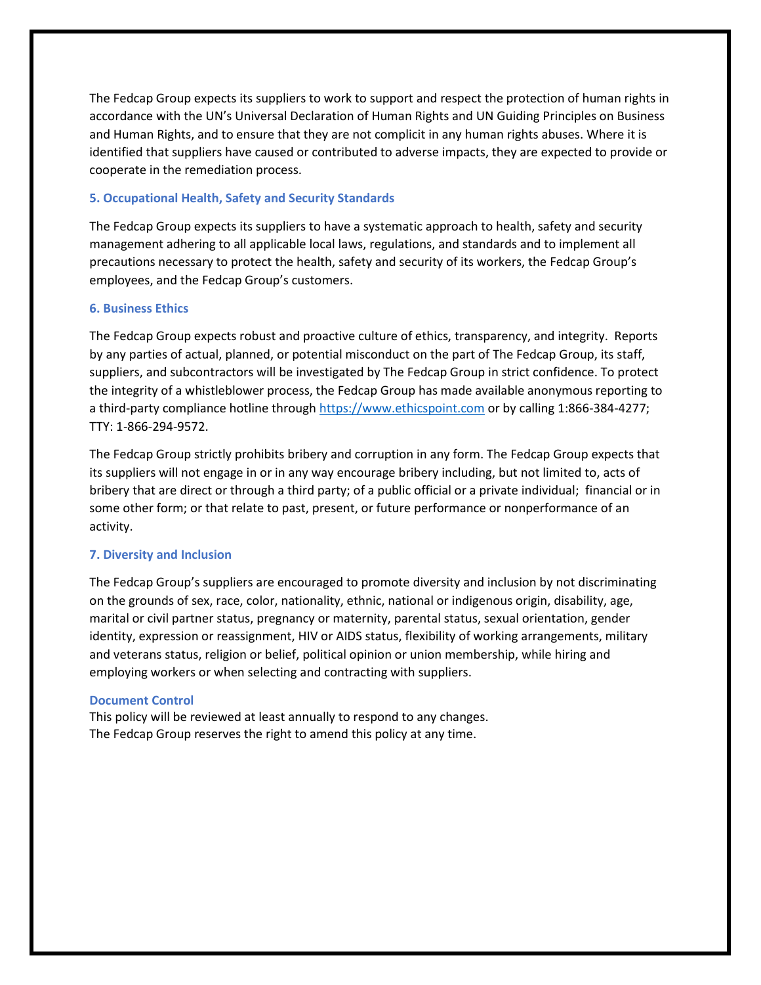The Fedcap Group expects its suppliers to work to support and respect the protection of human rights in accordance with the UN's Universal Declaration of Human Rights and UN Guiding Principles on Business and Human Rights, and to ensure that they are not complicit in any human rights abuses. Where it is identified that suppliers have caused or contributed to adverse impacts, they are expected to provide or cooperate in the remediation process.

#### **5. Occupational Health, Safety and Security Standards**

The Fedcap Group expects its suppliers to have a systematic approach to health, safety and security management adhering to all applicable local laws, regulations, and standards and to implement all precautions necessary to protect the health, safety and security of its workers, the Fedcap Group's employees, and the Fedcap Group's customers.

### **6. Business Ethics**

The Fedcap Group expects robust and proactive culture of ethics, transparency, and integrity. Reports by any parties of actual, planned, or potential misconduct on the part of The Fedcap Group, its staff, suppliers, and subcontractors will be investigated by The Fedcap Group in strict confidence. To protect the integrity of a whistleblower process, the Fedcap Group has made available anonymous reporting to a third-party compliance hotline through [https://www.ethicspoint.com](https://www.ethicspoint.com/) or by calling 1:866-384-4277; TTY: 1-866-294-9572.

The Fedcap Group strictly prohibits bribery and corruption in any form. The Fedcap Group expects that its suppliers will not engage in or in any way encourage bribery including, but not limited to, acts of bribery that are direct or through a third party; of a public official or a private individual; financial or in some other form; or that relate to past, present, or future performance or nonperformance of an activity.

## **7. Diversity and Inclusion**

The Fedcap Group's suppliers are encouraged to promote diversity and inclusion by not discriminating on the grounds of sex, race, color, nationality, ethnic, national or indigenous origin, disability, age, marital or civil partner status, pregnancy or maternity, parental status, sexual orientation, gender identity, expression or reassignment, HIV or AIDS status, flexibility of working arrangements, military and veterans status, religion or belief, political opinion or union membership, while hiring and employing workers or when selecting and contracting with suppliers.

#### **Document Control**

This policy will be reviewed at least annually to respond to any changes. The Fedcap Group reserves the right to amend this policy at any time.